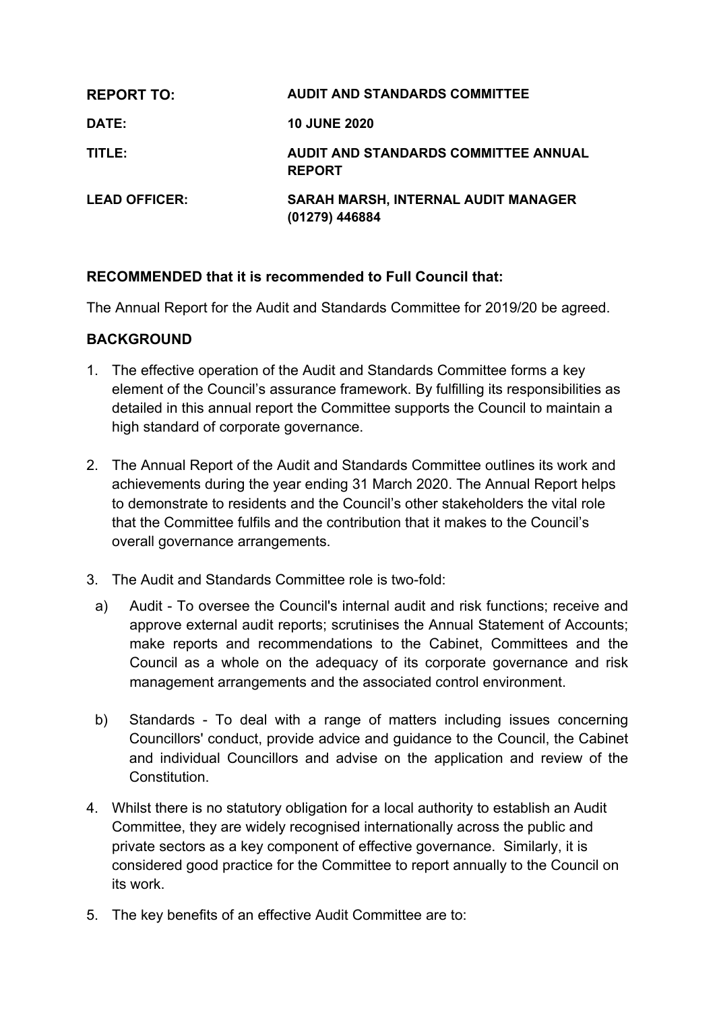| <b>REPORT TO:</b>    | <b>AUDIT AND STANDARDS COMMITTEE</b>                         |
|----------------------|--------------------------------------------------------------|
| <b>DATE:</b>         | <b>10 JUNE 2020</b>                                          |
| TITLE:               | AUDIT AND STANDARDS COMMITTEE ANNUAL<br><b>REPORT</b>        |
| <b>LEAD OFFICER:</b> | <b>SARAH MARSH, INTERNAL AUDIT MANAGER</b><br>(01279) 446884 |

## **RECOMMENDED that it is recommended to Full Council that:**

The Annual Report for the Audit and Standards Committee for 2019/20 be agreed.

#### **BACKGROUND**

- 1. The effective operation of the Audit and Standards Committee forms a key element of the Council's assurance framework. By fulfilling its responsibilities as detailed in this annual report the Committee supports the Council to maintain a high standard of corporate governance.
- 2. The Annual Report of the Audit and Standards Committee outlines its work and achievements during the year ending 31 March 2020. The Annual Report helps to demonstrate to residents and the Council's other stakeholders the vital role that the Committee fulfils and the contribution that it makes to the Council's overall governance arrangements.
- 3. The Audit and Standards Committee role is two-fold:
- a) Audit To oversee the Council's internal audit and risk functions; receive and approve external audit reports; scrutinises the Annual Statement of Accounts; make reports and recommendations to the Cabinet, Committees and the Council as a whole on the adequacy of its corporate governance and risk management arrangements and the associated control environment.
- b) Standards To deal with a range of matters including issues concerning Councillors' conduct, provide advice and guidance to the Council, the Cabinet and individual Councillors and advise on the application and review of the Constitution.
- 4. Whilst there is no statutory obligation for a local authority to establish an Audit Committee, they are widely recognised internationally across the public and private sectors as a key component of effective governance. Similarly, it is considered good practice for the Committee to report annually to the Council on its work.
- 5. The key benefits of an effective Audit Committee are to: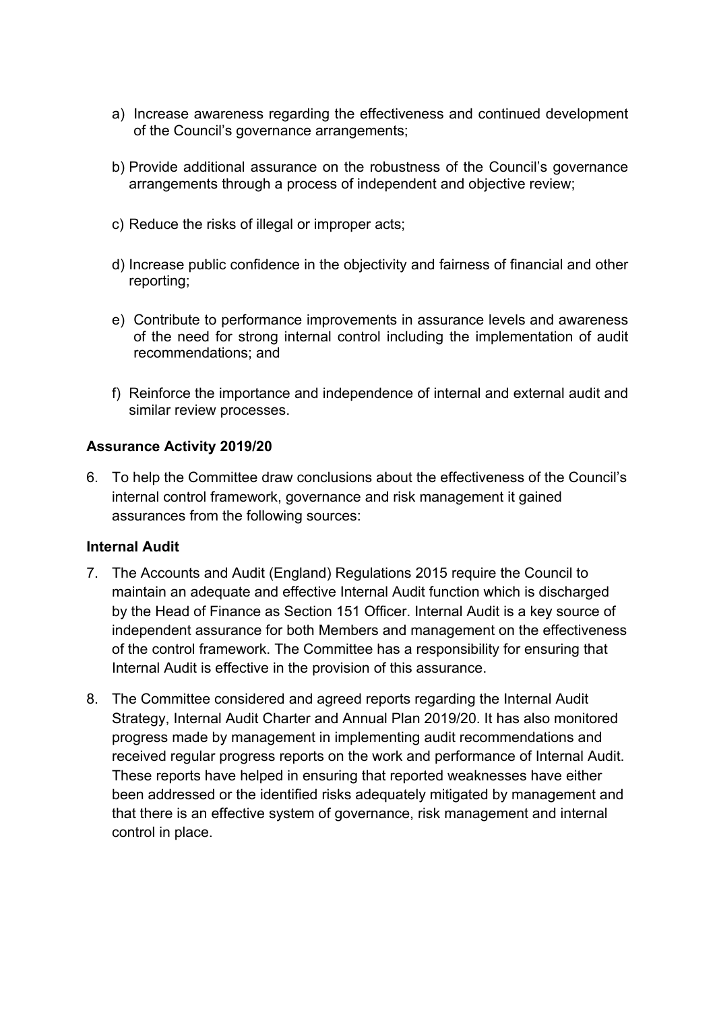- a) Increase awareness regarding the effectiveness and continued development of the Council's governance arrangements;
- b) Provide additional assurance on the robustness of the Council's governance arrangements through a process of independent and objective review;
- c) Reduce the risks of illegal or improper acts;
- d) Increase public confidence in the objectivity and fairness of financial and other reporting;
- e) Contribute to performance improvements in assurance levels and awareness of the need for strong internal control including the implementation of audit recommendations; and
- f) Reinforce the importance and independence of internal and external audit and similar review processes.

#### **Assurance Activity 2019/20**

6. To help the Committee draw conclusions about the effectiveness of the Council's internal control framework, governance and risk management it gained assurances from the following sources:

## **Internal Audit**

- 7. The Accounts and Audit (England) Regulations 2015 require the Council to maintain an adequate and effective Internal Audit function which is discharged by the Head of Finance as Section 151 Officer. Internal Audit is a key source of independent assurance for both Members and management on the effectiveness of the control framework. The Committee has a responsibility for ensuring that Internal Audit is effective in the provision of this assurance.
- 8. The Committee considered and agreed reports regarding the Internal Audit Strategy, Internal Audit Charter and Annual Plan 2019/20. It has also monitored progress made by management in implementing audit recommendations and received regular progress reports on the work and performance of Internal Audit. These reports have helped in ensuring that reported weaknesses have either been addressed or the identified risks adequately mitigated by management and that there is an effective system of governance, risk management and internal control in place.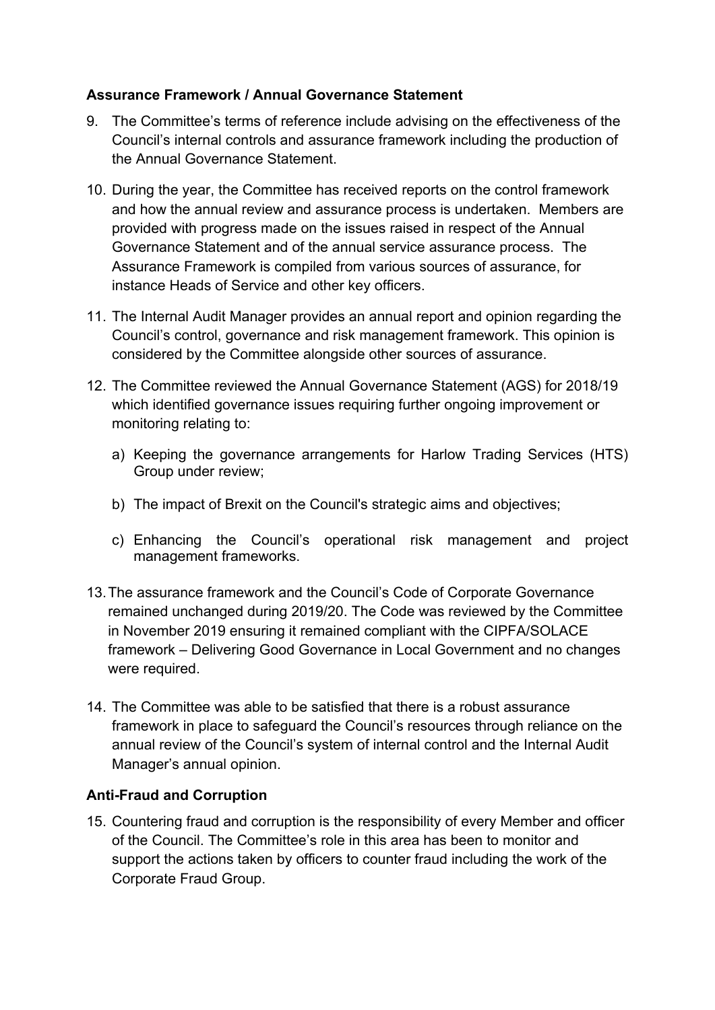## **Assurance Framework / Annual Governance Statement**

- 9. The Committee's terms of reference include advising on the effectiveness of the Council's internal controls and assurance framework including the production of the Annual Governance Statement.
- 10. During the year, the Committee has received reports on the control framework and how the annual review and assurance process is undertaken. Members are provided with progress made on the issues raised in respect of the Annual Governance Statement and of the annual service assurance process. The Assurance Framework is compiled from various sources of assurance, for instance Heads of Service and other key officers.
- 11. The Internal Audit Manager provides an annual report and opinion regarding the Council's control, governance and risk management framework. This opinion is considered by the Committee alongside other sources of assurance.
- 12. The Committee reviewed the Annual Governance Statement (AGS) for 2018/19 which identified governance issues requiring further ongoing improvement or monitoring relating to:
	- a) Keeping the governance arrangements for Harlow Trading Services (HTS) Group under review;
	- b) The impact of Brexit on the Council's strategic aims and objectives;
	- c) Enhancing the Council's operational risk management and project management frameworks.
- 13.The assurance framework and the Council's Code of Corporate Governance remained unchanged during 2019/20. The Code was reviewed by the Committee in November 2019 ensuring it remained compliant with the CIPFA/SOLACE framework – Delivering Good Governance in Local Government and no changes were required.
- 14. The Committee was able to be satisfied that there is a robust assurance framework in place to safeguard the Council's resources through reliance on the annual review of the Council's system of internal control and the Internal Audit Manager's annual opinion.

# **Anti-Fraud and Corruption**

15. Countering fraud and corruption is the responsibility of every Member and officer of the Council. The Committee's role in this area has been to monitor and support the actions taken by officers to counter fraud including the work of the Corporate Fraud Group.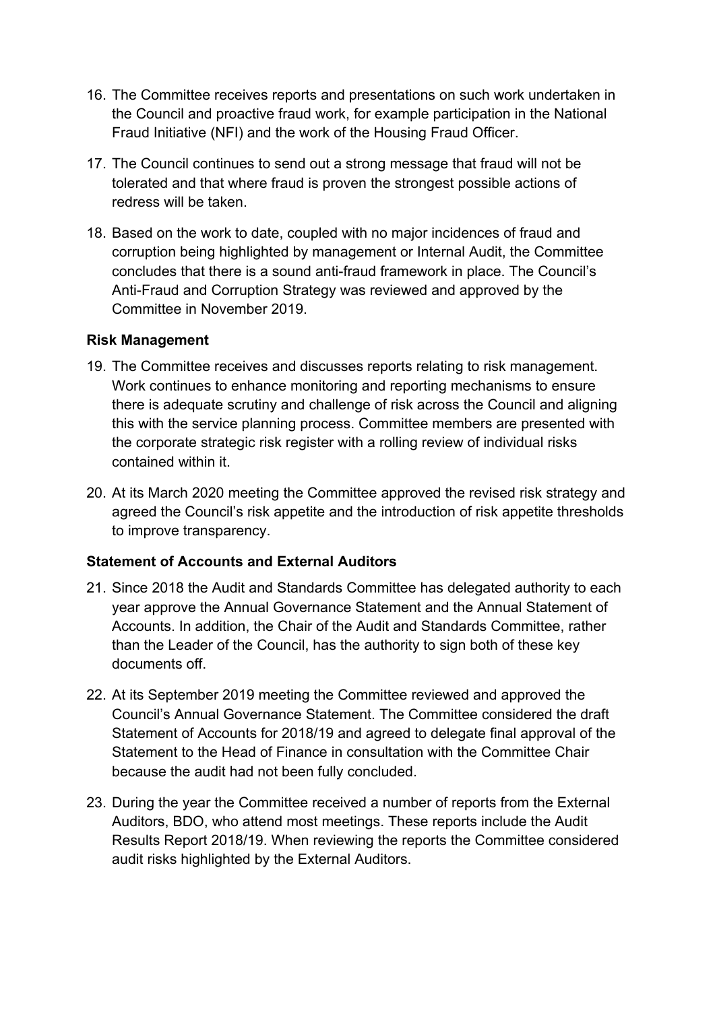- 16. The Committee receives reports and presentations on such work undertaken in the Council and proactive fraud work, for example participation in the National Fraud Initiative (NFI) and the work of the Housing Fraud Officer.
- 17. The Council continues to send out a strong message that fraud will not be tolerated and that where fraud is proven the strongest possible actions of redress will be taken.
- 18. Based on the work to date, coupled with no major incidences of fraud and corruption being highlighted by management or Internal Audit, the Committee concludes that there is a sound anti-fraud framework in place. The Council's Anti-Fraud and Corruption Strategy was reviewed and approved by the Committee in November 2019.

## **Risk Management**

- 19. The Committee receives and discusses reports relating to risk management. Work continues to enhance monitoring and reporting mechanisms to ensure there is adequate scrutiny and challenge of risk across the Council and aligning this with the service planning process. Committee members are presented with the corporate strategic risk register with a rolling review of individual risks contained within it.
- 20. At its March 2020 meeting the Committee approved the revised risk strategy and agreed the Council's risk appetite and the introduction of risk appetite thresholds to improve transparency.

## **Statement of Accounts and External Auditors**

- 21. Since 2018 the Audit and Standards Committee has delegated authority to each year approve the Annual Governance Statement and the Annual Statement of Accounts. In addition, the Chair of the Audit and Standards Committee, rather than the Leader of the Council, has the authority to sign both of these key documents off.
- 22. At its September 2019 meeting the Committee reviewed and approved the Council's Annual Governance Statement. The Committee considered the draft Statement of Accounts for 2018/19 and agreed to delegate final approval of the Statement to the Head of Finance in consultation with the Committee Chair because the audit had not been fully concluded.
- 23. During the year the Committee received a number of reports from the External Auditors, BDO, who attend most meetings. These reports include the Audit Results Report 2018/19. When reviewing the reports the Committee considered audit risks highlighted by the External Auditors.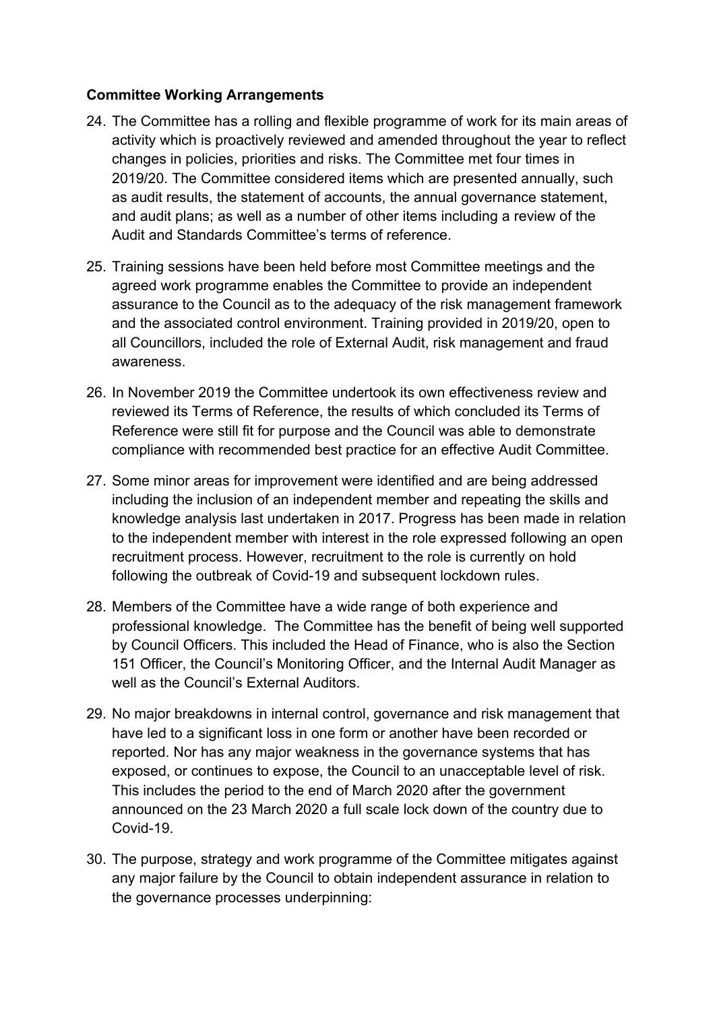## **Committee Working Arrangements**

- 24. The Committee has a rolling and flexible programme of work for its main areas of activity which is proactively reviewed and amended throughout the year to reflect changes in policies, priorities and risks. The Committee met four times in 2019/20. The Committee considered items which are presented annually, such as audit results, the statement of accounts, the annual governance statement, and audit plans; as well as a number of other items including a review of the Audit and Standards Committee's terms of reference.
- 25. Training sessions have been held before most Committee meetings and the agreed work programme enables the Committee to provide an independent assurance to the Council as to the adequacy of the risk management framework and the associated control environment. Training provided in 2019/20, open to all Councillors, included the role of External Audit, risk management and fraud awareness.
- 26. In November 2019 the Committee undertook its own effectiveness review and reviewed its Terms of Reference, the results of which concluded its Terms of Reference were still fit for purpose and the Council was able to demonstrate compliance with recommended best practice for an effective Audit Committee.
- 27. Some minor areas for improvement were identified and are being addressed including the inclusion of an independent member and repeating the skills and knowledge analysis last undertaken in 2017. Progress has been made in relation to the independent member with interest in the role expressed following an open recruitment process. However, recruitment to the role is currently on hold following the outbreak of Covid-19 and subsequent lockdown rules.
- 28. Members of the Committee have a wide range of both experience and professional knowledge. The Committee has the benefit of being well supported by Council Officers. This included the Head of Finance, who is also the Section 151 Officer, the Council's Monitoring Officer, and the Internal Audit Manager as well as the Council's External Auditors.
- 29. No major breakdowns in internal control, governance and risk management that have led to a significant loss in one form or another have been recorded or reported. Nor has any major weakness in the governance systems that has exposed, or continues to expose, the Council to an unacceptable level of risk. This includes the period to the end of March 2020 after the government announced on the 23 March 2020 a full scale lock down of the country due to Covid-19.
- 30. The purpose, strategy and work programme of the Committee mitigates against any major failure by the Council to obtain independent assurance in relation to the governance processes underpinning: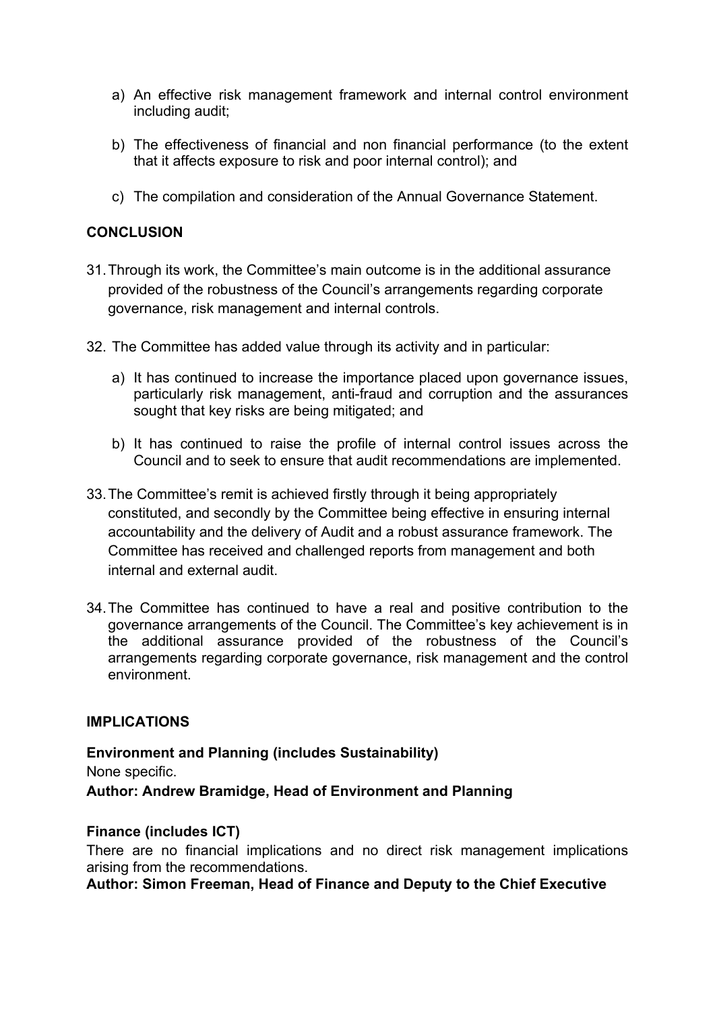- a) An effective risk management framework and internal control environment including audit;
- b) The effectiveness of financial and non financial performance (to the extent that it affects exposure to risk and poor internal control); and
- c) The compilation and consideration of the Annual Governance Statement.

### **CONCLUSION**

- 31.Through its work, the Committee's main outcome is in the additional assurance provided of the robustness of the Council's arrangements regarding corporate governance, risk management and internal controls.
- 32. The Committee has added value through its activity and in particular:
	- a) It has continued to increase the importance placed upon governance issues, particularly risk management, anti-fraud and corruption and the assurances sought that key risks are being mitigated; and
	- b) It has continued to raise the profile of internal control issues across the Council and to seek to ensure that audit recommendations are implemented.
- 33.The Committee's remit is achieved firstly through it being appropriately constituted, and secondly by the Committee being effective in ensuring internal accountability and the delivery of Audit and a robust assurance framework. The Committee has received and challenged reports from management and both internal and external audit.
- 34.The Committee has continued to have a real and positive contribution to the governance arrangements of the Council. The Committee's key achievement is in the additional assurance provided of the robustness of the Council's arrangements regarding corporate governance, risk management and the control environment.

#### **IMPLICATIONS**

**Environment and Planning (includes Sustainability)** None specific. **Author: Andrew Bramidge, Head of Environment and Planning**

#### **Finance (includes ICT)**

There are no financial implications and no direct risk management implications arising from the recommendations.

**Author: Simon Freeman, Head of Finance and Deputy to the Chief Executive**